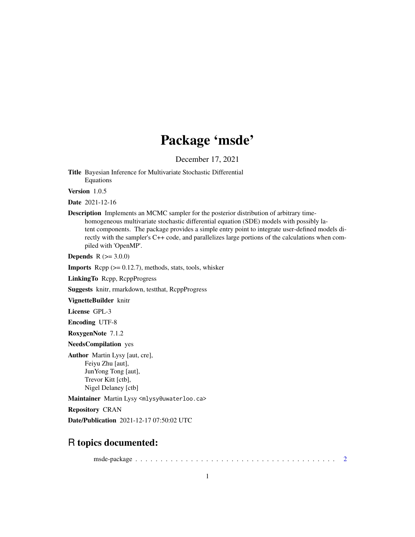## Package 'msde'

December 17, 2021

<span id="page-0-0"></span>Title Bayesian Inference for Multivariate Stochastic Differential Equations

Version 1.0.5

Date 2021-12-16

Description Implements an MCMC sampler for the posterior distribution of arbitrary timehomogeneous multivariate stochastic differential equation (SDE) models with possibly latent components. The package provides a simple entry point to integrate user-defined models directly with the sampler's C++ code, and parallelizes large portions of the calculations when compiled with 'OpenMP'.

**Depends**  $R (= 3.0.0)$ 

**Imports** Rcpp  $(>= 0.12.7)$ , methods, stats, tools, whisker

LinkingTo Rcpp, RcppProgress

Suggests knitr, rmarkdown, testthat, RcppProgress

VignetteBuilder knitr

License GPL-3

Encoding UTF-8

RoxygenNote 7.1.2

NeedsCompilation yes

Author Martin Lysy [aut, cre], Feiyu Zhu [aut], JunYong Tong [aut], Trevor Kitt [ctb], Nigel Delaney [ctb]

Maintainer Martin Lysy <mlysy@uwaterloo.ca>

Repository CRAN

Date/Publication 2021-12-17 07:50:02 UTC

### R topics documented:

msde-package . . . . . . . . . . . . . . . . . . . . . . . . . . . . . . . . . . . . . . . . [2](#page-1-0)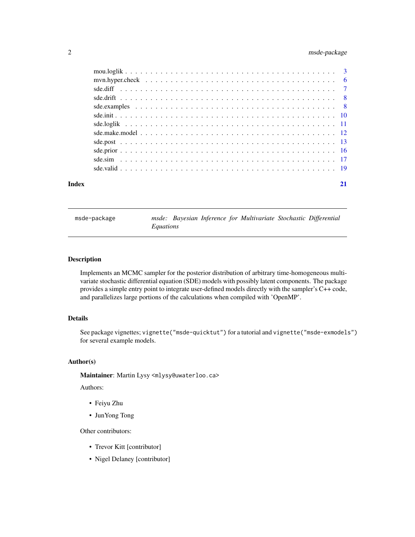#### <span id="page-1-0"></span>2 msde-package

| Index |  |
|-------|--|

msde-package *msde: Bayesian Inference for Multivariate Stochastic Differential Equations*

#### Description

Implements an MCMC sampler for the posterior distribution of arbitrary time-homogeneous multivariate stochastic differential equation (SDE) models with possibly latent components. The package provides a simple entry point to integrate user-defined models directly with the sampler's C++ code, and parallelizes large portions of the calculations when compiled with 'OpenMP'.

#### Details

See package vignettes; vignette("msde-quicktut") for a tutorial and vignette("msde-exmodels") for several example models.

#### Author(s)

Maintainer: Martin Lysy <mlysy@uwaterloo.ca>

Authors:

- Feiyu Zhu
- JunYong Tong

Other contributors:

- Trevor Kitt [contributor]
- Nigel Delaney [contributor]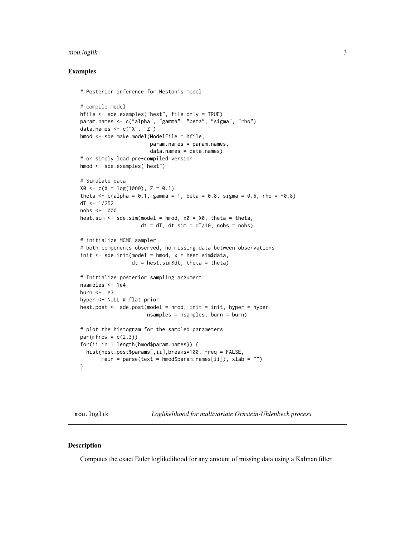#### <span id="page-2-0"></span>mou.loglik 3

#### Examples

```
# Posterior inference for Heston's model
# compile model
hfile <- sde.examples("hest", file.only = TRUE)
param.names <- c("alpha", "gamma", "beta", "sigma", "rho")
data.names <- c("X", "Z")
hmod <- sde.make.model(ModelFile = hfile,
                       param.names = param.names,
                       data.names = data.names)
# or simply load pre-compiled version
hmod <- sde.examples("hest")
# Simulate data
X0 \leq -c(X = log(1000), Z = 0.1)theta <- c(alpha = 0.1, gamma = 1, beta = 0.8, sigma = 0.6, rho = -0.8)
dT < -1/252nobs <- 1000
hest.sim \leq sde.sim(model = hmod, x0 = X0, theta = theta,
                    dt = dT, dt \cdot \sin = dT/10, nobs = nobs# initialize MCMC sampler
# both components observed, no missing data between observations
init \leq sde.init(model = hmod, x = hest.sim$data,
                 dt = hest.sim$dt, theta = theta)
# Initialize posterior sampling argument
nsamples <- 1e4
burn <- 1e3
hyper <- NULL # flat prior
hest.post <- sde.post(model = hmod, init = init, hyper = hyper,
                      nsamples = nsamples, burn = burn)
# plot the histogram for the sampled parameters
par(mfrow = c(2,3))for(ii in 1:length(hmod$param.names)) {
 hist(hest.post$params[,ii],breaks=100, freq = FALSE,
       main = parse(text = hmod$param.name[ii]), xlab = ''")}
```
mou.loglik *Loglikelihood for multivariate Ornstein-Uhlenbeck process.*

#### Description

Computes the exact Euler loglikelihood for any amount of missing data using a Kalman filter.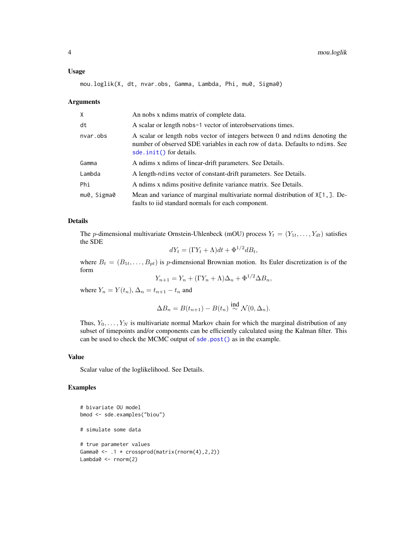#### <span id="page-3-0"></span>Usage

mou.loglik(X, dt, nvar.obs, Gamma, Lambda, Phi, mu0, Sigma0)

#### Arguments

| X           | An nobs x ndims matrix of complete data.                                                                                                                                               |
|-------------|----------------------------------------------------------------------------------------------------------------------------------------------------------------------------------------|
| dt          | A scalar or length nobs-1 vector of interobservations times.                                                                                                                           |
| nvar.obs    | A scalar or length nobs vector of integers between 0 and ndims denoting the<br>number of observed SDE variables in each row of data. Defaults to ndims. See<br>sde.init() for details. |
| Gamma       | A ndims x ndims of linear-drift parameters. See Details.                                                                                                                               |
| Lambda      | A length-ndims vector of constant-drift parameters. See Details.                                                                                                                       |
| Phi         | A ndims x ndims positive definite variance matrix. See Details.                                                                                                                        |
| mu0, Sigma0 | Mean and variance of marginal multivariate normal distribution of $X[1,].$ De-<br>faults to iid standard normals for each component.                                                   |

#### Details

The *p*-dimensional multivariate Ornstein-Uhlenbeck (mOU) process  $Y_t = (Y_{1t}, \ldots, Y_{dt})$  satisfies the SDE

$$
dY_t = (\Gamma Y_t + \Lambda)dt + \Phi^{1/2}dB_t,
$$

where  $B_t = (B_{1t}, \ldots, B_{pt})$  is p-dimensional Brownian motion. Its Euler discretization is of the form

$$
Y_{n+1} = Y_n + (\Gamma Y_n + \Lambda)\Delta_n + \Phi^{1/2}\Delta B_n,
$$

where  $Y_n = Y(t_n)$ ,  $\Delta_n = t_{n+1} - t_n$  and

$$
\Delta B_n = B(t_{n+1}) - B(t_n) \stackrel{\text{ind}}{\sim} \mathcal{N}(0, \Delta_n).
$$

Thus,  $Y_0, \ldots, Y_N$  is multivariate normal Markov chain for which the marginal distribution of any subset of timepoints and/or components can be efficiently calculated using the Kalman filter. This can be used to check the MCMC output of [sde.post\(\)](#page-12-1) as in the example.

#### Value

Scalar value of the loglikelihood. See Details.

```
# bivariate OU model
bmod <- sde.examples("biou")
# simulate some data
# true parameter values
Gamma0 \leq 1 \times \text{crossprod}(\text{matrix}(rnorm(4), 2, 2))Lambda0 <- rnorm(2)
```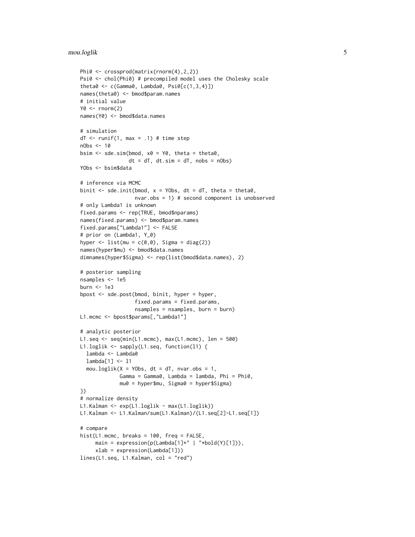#### mou.loglik 5

```
Phi0 <- crossprod(matrix(rnorm(4),2,2))
Psi0 <- chol(Phi0) # precompiled model uses the Cholesky scale
theta0 <- c(Gamma0, Lambda0, Psi0[c(1,3,4)])
names(theta0) <- bmod$param.names
# initial value
Y0 \le - rnorm(2)names(Y0) <- bmod$data.names
# simulation
dT < -runif(1, max = .1) # time step
nObs <- 10
bsim \leq sde.sim(bmod, x0 = Y0, theta = theta0,
                dt = dT, dt \cdot \sin = dT, nobs = nObs)
YObs <- bsim$data
# inference via MCMC
binit \leq sde.init(bmod, x = Y0bs, dt = dT, theta = theta0,
                  nvar.obs = 1) # second component is unobserved
# only Lambda1 is unknown
fixed.params <- rep(TRUE, bmod$nparams)
names(fixed.params) <- bmod$param.names
fixed.params["Lambda1"] <- FALSE
# prior on (Lambda1, Y_0)
hyper \le list(mu = c(0,0), Sigma = diag(2))
names(hyper$mu) <- bmod$data.names
dimnames(hyper$Sigma) <- rep(list(bmod$data.names), 2)
# posterior sampling
nsamples <- 1e5
burn <- 1e3
bpost <- sde.post(bmod, binit, hyper = hyper,
                  fixed.params = fixed.params,
                  nsamples = nsamples, burn = burn)
L1.mcmc <- bpost$params[,"Lambda1"]
# analytic posterior
L1.seq <- seq(min(L1.mcmc), max(L1.mcmc), len = 500)
L1.loglik <- sapply(L1.seq, function(l1) {
  lambda <- Lambda0
  lambda[1] <- l1
  mou.loglik(X = Y0bs, dt = dT, nvar.obs = 1,
             Gamma = Gamma0, Lambda = lambda, Phi = Phi0,
             mu0 = hyper$mu, Sigma0 = hyper$Sigma)
})
# normalize density
L1.Kalman <- exp(L1.loglik - max(L1.loglik))
L1.Kalman <- L1.Kalman/sum(L1.Kalman)/(L1.seq[2]-L1.seq[1])
# compare
hist(L1.mcmc, breaks = 100, freq = FALSE,
     main = expression(p(Lambda[1]*" | "*bold(Y)[1])),
     xlab = expression(Lambda[1]))
lines(L1.seq, L1.Kalman, col = "red")
```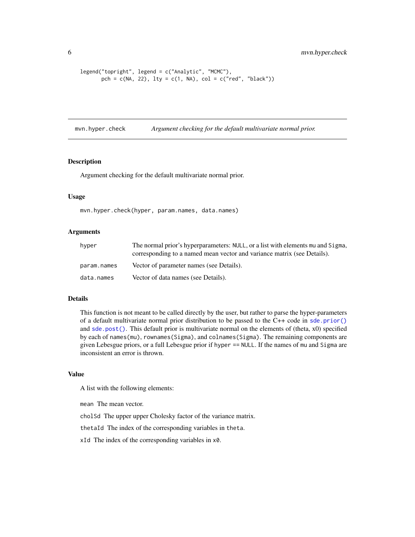```
legend("topright", legend = c("Analytic", "MCMC"),
      pch = c(NA, 22), lty = c(1, NA), col = c("red", "black"))
```
<span id="page-5-1"></span>mvn.hyper.check *Argument checking for the default multivariate normal prior.*

#### Description

Argument checking for the default multivariate normal prior.

#### Usage

mvn.hyper.check(hyper, param.names, data.names)

#### Arguments

| hyper       | The normal prior's hyperparameters: NULL, or a list with elements mu and Sigma, |
|-------------|---------------------------------------------------------------------------------|
|             | corresponding to a named mean vector and variance matrix (see Details).         |
| param.names | Vector of parameter names (see Details).                                        |
| data.names  | Vector of data names (see Details).                                             |

#### Details

This function is not meant to be called directly by the user, but rather to parse the hyper-parameters of a default multivariate normal prior distribution to be passed to the C++ code in [sde.prior\(\)](#page-15-1) and [sde.post\(\)](#page-12-1). This default prior is multivariate normal on the elements of (theta, x0) specified by each of names(mu), rownames(Sigma), and colnames(Sigma). The remaining components are given Lebesgue priors, or a full Lebesgue prior if hyper == NULL. If the names of mu and Sigma are inconsistent an error is thrown.

#### Value

A list with the following elements:

mean The mean vector.

cholSd The upper upper Cholesky factor of the variance matrix.

thetaId The index of the corresponding variables in theta.

xId The index of the corresponding variables in x0.

<span id="page-5-0"></span>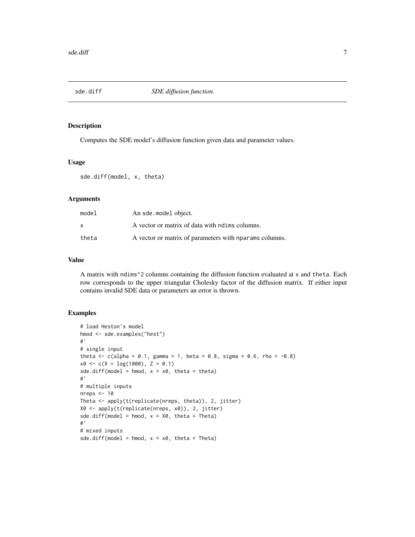<span id="page-6-1"></span><span id="page-6-0"></span>

#### Description

Computes the SDE model's diffusion function given data and parameter values.

#### Usage

```
sde.diff(model, x, theta)
```
#### Arguments

| model | An sde.model object.                                   |
|-------|--------------------------------------------------------|
| x     | A vector or matrix of data with notimes columns.       |
| theta | A vector or matrix of parameters with nparams columns. |

#### Value

A matrix with ndims^2 columns containing the diffusion function evaluated at x and theta. Each row corresponds to the upper triangular Cholesky factor of the diffusion matrix. If either input contains invalid SDE data or parameters an error is thrown.

```
# load Heston's model
hmod <- sde.examples("hest")
#'
# single input
theta <- c(alpha = 0.1, gamma = 1, beta = 0.8, sigma = 0.6, rho = -0.8)
x0 \leq c(X = log(1000), Z = 0.1)sde.diff(model = hmod, x = x0, theta = theta)
#'
# multiple inputs
nreps <-10Theta <- apply(t(replicate(nreps, theta)), 2, jitter)
X0 <- apply(t(replicate(nreps, x0)), 2, jitter)
sde.diff(model = hmod, x = X0, theta = Theta)
#'
# mixed inputs
sde.diff(model = hmod, x = x0, theta = Theta)
```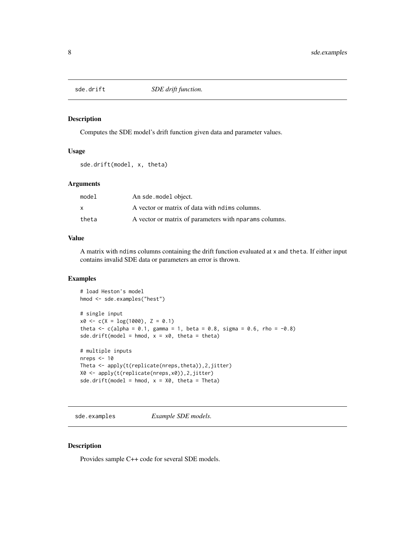<span id="page-7-1"></span><span id="page-7-0"></span>

#### Description

Computes the SDE model's drift function given data and parameter values.

#### Usage

sde.drift(model, x, theta)

#### Arguments

| model        | An sde.model object.                                   |
|--------------|--------------------------------------------------------|
| $\mathsf{x}$ | A vector or matrix of data with notimes columns.       |
| theta        | A vector or matrix of parameters with nparams columns. |

#### Value

A matrix with ndims columns containing the drift function evaluated at x and theta. If either input contains invalid SDE data or parameters an error is thrown.

#### Examples

```
# load Heston's model
hmod <- sde.examples("hest")
# single input
x0 \leq -c(X = log(1000), Z = 0.1)theta <- c(alpha = 0.1, gamma = 1, beta = 0.8, sigma = 0.6, rho = -0.8)
sde.drift(model = hmod, x = x0, theta = theta)
# multiple inputs
nreps <-10Theta <- apply(t(replicate(nreps,theta)),2,jitter)
X0 <- apply(t(replicate(nreps,x0)),2,jitter)
sde.drift(model = hmod, x = X0, theta = Theta)
```
sde.examples *Example SDE models.*

#### Description

Provides sample C++ code for several SDE models.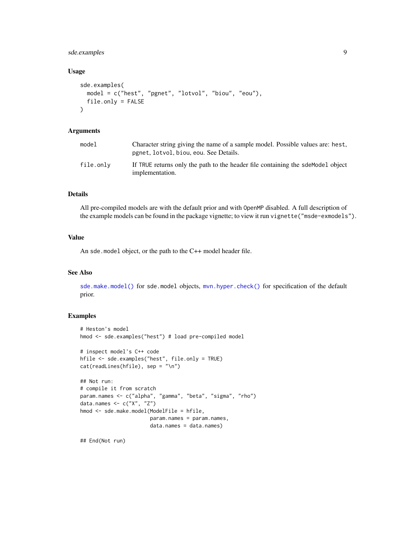#### <span id="page-8-0"></span>sde.examples 9

#### Usage

```
sde.examples(
 model = c("hest", "pgnet", "lotvol", "biou", "eou"),
  file.only = FALSE
\lambda
```
#### Arguments

| model     | Character string giving the name of a sample model. Possible values are: hest,<br>pgnet, lotvol, biou, eou. See Details. |
|-----------|--------------------------------------------------------------------------------------------------------------------------|
| file.only | If TRUE returns only the path to the header file containing the sdemodel object<br>implementation.                       |

#### Details

All pre-compiled models are with the default prior and with OpenMP disabled. A full description of the example models can be found in the package vignette; to view it run vignette("msde-exmodels").

#### Value

An sde.model object, or the path to the C++ model header file.

#### See Also

[sde.make.model\(\)](#page-11-1) for sde.model objects, [mvn.hyper.check\(\)](#page-5-1) for specification of the default prior.

#### Examples

```
# Heston's model
hmod <- sde.examples("hest") # load pre-compiled model
# inspect model's C++ code
hfile <- sde.examples("hest", file.only = TRUE)
cat(readLines(hfile), sep = "\n")
## Not run:
# compile it from scratch
param.names <- c("alpha", "gamma", "beta", "sigma", "rho")
data.names <- c("X", "Z")
hmod <- sde.make.model(ModelFile = hfile,
                       param.names = param.names,
                       data.names = data.names)
```
## End(Not run)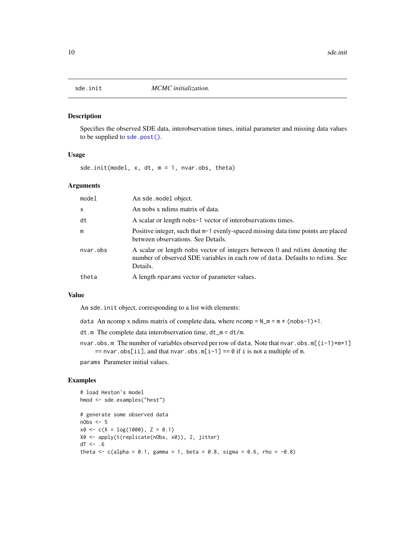<span id="page-9-1"></span><span id="page-9-0"></span>

#### Description

Specifies the observed SDE data, interobservation times, initial parameter and missing data values to be supplied to [sde.post\(\)](#page-12-1).

#### Usage

sde.init(model, x, dt, m = 1, nvar.obs, theta)

#### Arguments

| model        | An sde.model object.                                                                                                                                                    |
|--------------|-------------------------------------------------------------------------------------------------------------------------------------------------------------------------|
| $\mathsf{x}$ | An nobs x ndims matrix of data.                                                                                                                                         |
| dt           | A scalar or length nobs-1 vector of interobservations times.                                                                                                            |
| m            | Positive integer, such that m-1 evenly-spaced missing data time points are placed<br>between observations. See Details.                                                 |
| nvar.obs     | A scalar or length nobs vector of integers between 0 and ndims denoting the<br>number of observed SDE variables in each row of data. Defaults to ndims. See<br>Details. |
| theta        | A length nparams vector of parameter values.                                                                                                                            |

#### Value

An sde.init object, corresponding to a list with elements:

- data An ncomp x ndims matrix of complete data, where ncomp =  $N_m = m * (nobs-1)+1$ .
- dt.m The complete data interobservation time, dt\_m = dt/m.
- nvar.obs.m The number of variables observed per row of data. Note that nvar.obs.m[ $(i-1)*m+1$ ]  $==$  nvar.obs[ii], and that nvar.obs.m[i-1] == 0 if i is not a multiple of m.

params Parameter initial values.

```
# load Heston's model
hmod <- sde.examples("hest")
# generate some observed data
nObs <- 5
x0 \leq -c(X = log(1000), Z = 0.1)X0 <- apply(t(replicate(nObs, x0)), 2, jitter)
dT <- .6
theta \leq c(alpha = 0.1, gamma = 1, beta = 0.8, sigma = 0.6, rho = -0.8)
```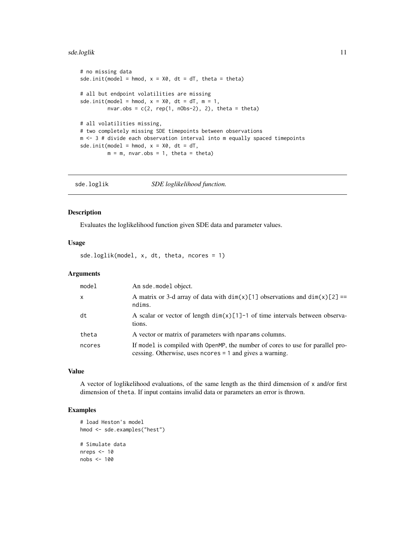#### <span id="page-10-0"></span>sde.loglik 11

```
# no missing data
sde.init(model = hmod, x = X0, dt = dT, theta = theta)
# all but endpoint volatilities are missing
sde.init(model = hmod, x = X0, dt = dT, m = 1,
        nvar.obs = c(2, rep(1, nobs-2), 2), theta = theta)# all volatilities missing,
# two completely missing SDE timepoints between observations
m <- 3 # divide each observation interval into m equally spaced timepoints
sde.init(model = hmod, x = X0, dt = dT,
        m = m, nvar.obs = 1, theta = theta)
```
<span id="page-10-1"></span>sde.loglik *SDE loglikelihood function.*

#### Description

Evaluates the loglikelihood function given SDE data and parameter values.

#### Usage

sde.loglik(model, x, dt, theta, ncores = 1)

#### Arguments

| model        | An sde.model object.                                                                                                                        |
|--------------|---------------------------------------------------------------------------------------------------------------------------------------------|
| $\mathsf{x}$ | A matrix or 3-d array of data with $dim(x)[1]$ observations and $dim(x)[2] ==$<br>ndims.                                                    |
| dt           | A scalar or vector of length $\dim(x)[1]-1$ of time intervals between observa-<br>tions.                                                    |
| theta        | A vector or matrix of parameters with nparams columns.                                                                                      |
| ncores       | If model is compiled with OpenMP, the number of cores to use for parallel pro-<br>cessing. Otherwise, uses no cres = 1 and gives a warning. |

#### Value

A vector of loglikelihood evaluations, of the same length as the third dimension of x and/or first dimension of theta. If input contains invalid data or parameters an error is thrown.

```
# load Heston's model
hmod <- sde.examples("hest")
# Simulate data
nreps <-10nobs <- 100
```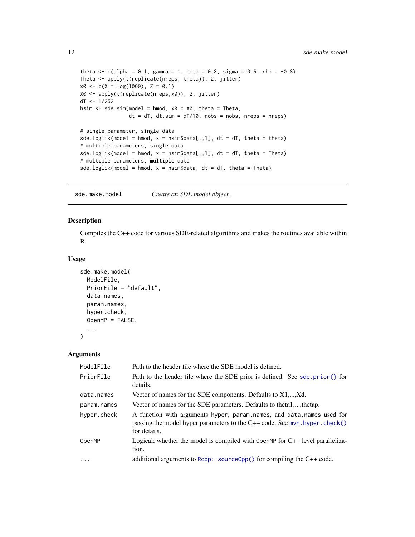```
theta \leq c(alpha = 0.1, gamma = 1, beta = 0.8, sigma = 0.6, rho = -0.8)
Theta <- apply(t(replicate(nreps, theta)), 2, jitter)
x0 \leq -c(X = log(1000), Z = 0.1)X0 <- apply(t(replicate(nreps,x0)), 2, jitter)
dT <- 1/252
hsim \leq sde.sim(model = hmod, x0 = X0, theta = Theta,
                dt = dT, dt \cdot \sin t = dT/10, nobs = nobs, nreps = nreps)
# single parameter, single data
sde.loglik(model = hmod, x = \text{hsim}\data[,,1], dt = dT, theta = theta)
# multiple parameters, single data
sde.loglik(model = hmod, x = \text{hsim}\data[,,1], dt = dT, theta = Theta)
# multiple parameters, multiple data
sde.loglik(model = hmod, x = hsim$data, dt = dT, theta = Theta)
```
<span id="page-11-1"></span>sde.make.model *Create an SDE model object.*

#### Description

Compiles the C++ code for various SDE-related algorithms and makes the routines available within R.

#### Usage

```
sde.make.model(
 ModelFile,
 PriorFile = "default",
 data.names,
 param.names,
 hyper.check,
 OpenMP = FALSE,
  ...
\lambda
```
#### Arguments

| ModelFile   | Path to the header file where the SDE model is defined.                                                                                                                |
|-------------|------------------------------------------------------------------------------------------------------------------------------------------------------------------------|
| PriorFile   | Path to the header file where the SDE prior is defined. See sde. prior() for<br>details.                                                                               |
| data.names  | Vector of names for the SDE components. Defaults to X1,,Xd.                                                                                                            |
| param.names | Vector of names for the SDE parameters. Defaults to theta1,, thetap.                                                                                                   |
| hyper.check | A function with arguments hyper, param.names, and data.names used for<br>passing the model hyper parameters to the $C++$ code. See mvn. hyper. check()<br>for details. |
| OpenMP      | Logical; whether the model is compiled with 0 pen $N_F$ for $C_{++}$ level paralleliza-<br>tion.                                                                       |
| $\cdots$    | additional arguments to $Rcpp$ : source $Cpp()$ for compiling the $C++code$ .                                                                                          |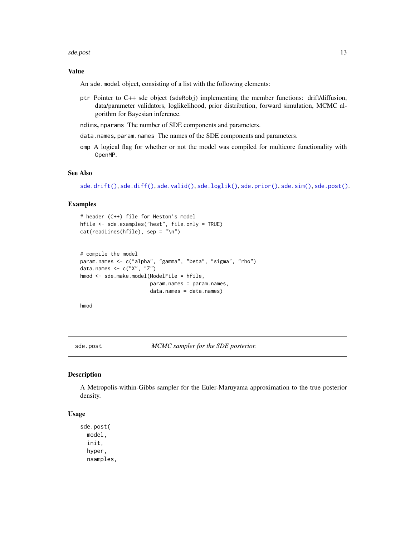#### <span id="page-12-0"></span>sde.post 13

#### Value

An sde.model object, consisting of a list with the following elements:

- ptr Pointer to C++ sde object (sdeRobj) implementing the member functions: drift/diffusion, data/parameter validators, loglikelihood, prior distribution, forward simulation, MCMC algorithm for Bayesian inference.
- ndims, nparams The number of SDE components and parameters.
- data.names, param.names The names of the SDE components and parameters.
- omp A logical flag for whether or not the model was compiled for multicore functionality with OpenMP.

#### See Also

[sde.drift\(\)](#page-7-1), [sde.diff\(\)](#page-6-1), [sde.valid\(\)](#page-18-1), [sde.loglik\(\)](#page-10-1), [sde.prior\(\)](#page-15-1), [sde.sim\(\)](#page-16-1), [sde.post\(\)](#page-12-1).

#### Examples

```
# header (C++) file for Heston's model
hfile <- sde.examples("hest", file.only = TRUE)
cat(readLines(hfile), sep = "\n")
```

```
# compile the model
param.names <- c("alpha", "gamma", "beta", "sigma", "rho")
data.names <- c("X", "Z")
hmod <- sde.make.model(ModelFile = hfile,
                       param.names = param.names,
                       data.names = data.names)
```
hmod

<span id="page-12-1"></span>sde.post *MCMC sampler for the SDE posterior.*

#### Description

A Metropolis-within-Gibbs sampler for the Euler-Maruyama approximation to the true posterior density.

#### Usage

sde.post( model, init, hyper, nsamples,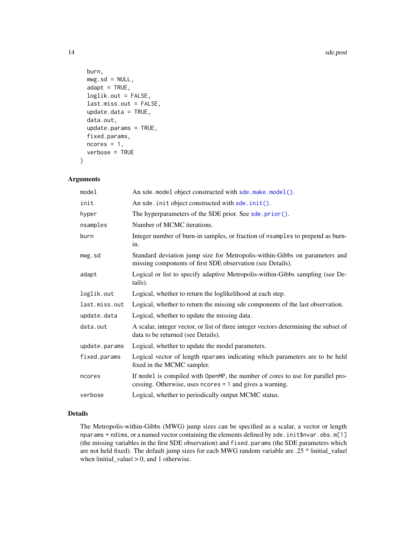```
burn,
 mwg.sd = NULL,adapt = TRUE,loglik.out = FALSE,
  last.miss.out = FALSE,
  update.data = TRUE,
  data.out,
  update.params = TRUE,
  fixed.params,
 ncores = 1,
  verbose = TRUE
\mathcal{E}
```
#### Arguments

| model         | An sde.model object constructed with sde.make.model().                                                                                     |
|---------------|--------------------------------------------------------------------------------------------------------------------------------------------|
| init          | An sde. init object constructed with sde. init().                                                                                          |
| hyper         | The hyperparameters of the SDE prior. See sde.prior().                                                                                     |
| nsamples      | Number of MCMC iterations.                                                                                                                 |
| burn          | Integer number of burn-in samples, or fraction of nsamples to prepend as burn-<br>in.                                                      |
| mwg.sd        | Standard deviation jump size for Metropolis-within-Gibbs on parameters and<br>missing components of first SDE observation (see Details).   |
| adapt         | Logical or list to specify adaptive Metropolis-within-Gibbs sampling (see De-<br>tails).                                                   |
| loglik.out    | Logical, whether to return the loglikelihood at each step.                                                                                 |
| last.miss.out | Logical, whether to return the missing sde components of the last observation.                                                             |
| update.data   | Logical, whether to update the missing data.                                                                                               |
| data.out      | A scalar, integer vector, or list of three integer vectors determining the subset of<br>data to be returned (see Details).                 |
| update.params | Logical, whether to update the model parameters.                                                                                           |
| fixed.params  | Logical vector of length nparams indicating which parameters are to be held<br>fixed in the MCMC sampler.                                  |
| ncores        | If model is compiled with OpenMP, the number of cores to use for parallel pro-<br>cessing. Otherwise, uses ncores = 1 and gives a warning. |
| verbose       | Logical, whether to periodically output MCMC status.                                                                                       |

#### Details

The Metropolis-within-Gibbs (MWG) jump sizes can be specified as a scalar, a vector or length nparams + ndims, or a named vector containing the elements defined by sde. init \$nvar.obs.m[1] (the missing variables in the first SDE observation) and fixed.params (the SDE parameters which are not held fixed). The default jump sizes for each MWG random variable are .25 \* linitial\_valuel when  $|initial_value| > 0$ , and 1 otherwise.

<span id="page-13-0"></span>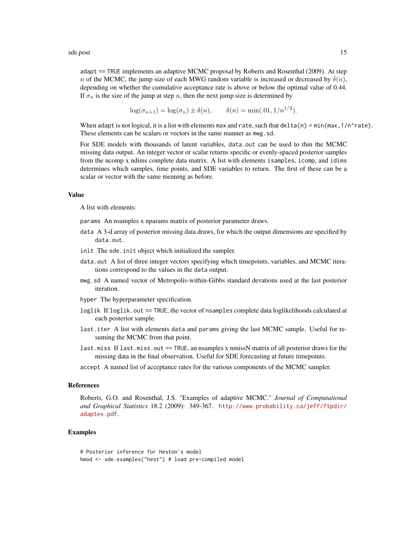adapt == TRUE implements an adaptive MCMC proposal by Roberts and Rosenthal (2009). At step n of the MCMC, the jump size of each MWG random variable is increased or decreased by  $\delta(n)$ , depending on whether the cumulative acceptance rate is above or below the optimal value of 0.44. If  $\sigma_n$  is the size of the jump at step n, then the next jump size is determined by

$$
\log(\sigma_{n+1}) = \log(\sigma_n) \pm \delta(n), \qquad \delta(n) = \min(.01, 1/n^{1/2}).
$$

When adapt is not logical, it is a list with elements max and rate, such that delta(n) = min(max,  $1/n$  rate). These elements can be scalars or vectors in the same manner as mwg.sd.

For SDE models with thousands of latent variables, data.out can be used to thin the MCMC missing data output. An integer vector or scalar returns specific or evenly-spaced posterior samples from the ncomp x ndims complete data matrix. A list with elements isamples, icomp, and idims determines which samples, time points, and SDE variables to return. The first of these can be a scalar or vector with the same meaning as before.

#### Value

A list with elements:

params An nsamples x nparams matrix of posterior parameter draws.

- data A 3-d array of posterior missing data draws, for which the output dimensions are specified by data.out.
- init The sde.init object which initialized the sampler.
- data.out A list of three integer vectors specifying which timepoints, variables, and MCMC iterations correspond to the values in the data output.
- mwg.sd A named vector of Metropolis-within-Gibbs standard devations used at the last posterior iteration.

hyper The hyperparameter specification.

- loglik If loglik.out == TRUE, the vector of nsamples complete data loglikelihoods calculated at each posterior sample.
- last.iter A list with elements data and params giving the last MCMC sample. Useful for resuming the MCMC from that point.
- last.miss If last.miss.out == TRUE, an nsamples x nmissN matrix of all posterior draws for the missing data in the final observation. Useful for SDE forecasting at future timepoints.
- accept A named list of acceptance rates for the various components of the MCMC sampler.

#### References

Roberts, G.O. and Rosenthal, J.S. "Examples of adaptive MCMC." *Journal of Computational and Graphical Statistics* 18.2 (2009): 349-367. [http://www.probability.ca/jeff/ftpdir/](http://www.probability.ca/jeff/ftpdir/adaptex.pdf) [adaptex.pdf](http://www.probability.ca/jeff/ftpdir/adaptex.pdf).

```
# Posterior inference for Heston's model
hmod <- sde.examples("hest") # load pre-compiled model
```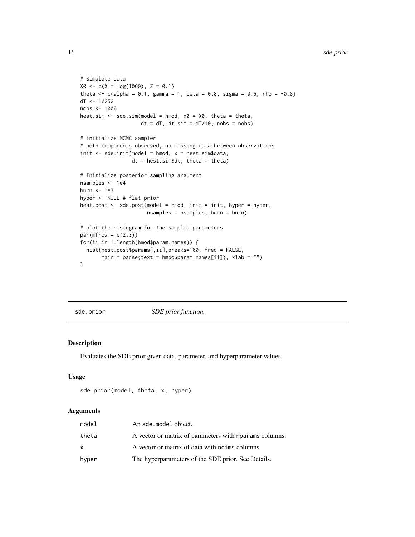```
# Simulate data
X0 \leftarrow c(X = log(1000), Z = 0.1)theta \leq c(alpha = 0.1, gamma = 1, beta = 0.8, sigma = 0.6, rho = -0.8)
dT <- 1/252
nobs <- 1000
hest.sim \leq sde.sim(model = hmod, x0 = X0, theta = theta,
                    dt = dT, dt \cdot \sin = dT/10, nobs = nobs)
# initialize MCMC sampler
# both components observed, no missing data between observations
init \leq sde.init(model = hmod, x = hest.sim$data,
                 dt = hest.sim$dt, theta = theta)
# Initialize posterior sampling argument
nsamples <- 1e4
burn <- 1e3
hyper <- NULL # flat prior
hest.post <- sde.post(model = hmod, init = init, hyper = hyper,
                      nsamples = nsamples, burn = burn)
# plot the histogram for the sampled parameters
par(mfrow = c(2,3))for(ii in 1:length(hmod$param.names)) {
  hist(hest.post$params[,ii],breaks=100, freq = FALSE,
       main = parse(text = hmod$param.name[iij], xlab = ''")}
```
<span id="page-15-1"></span>sde.prior *SDE prior function.*

#### Description

Evaluates the SDE prior given data, parameter, and hyperparameter values.

#### Usage

```
sde.prior(model, theta, x, hyper)
```
#### Arguments

| model | An sde.model object.                                   |
|-------|--------------------------------------------------------|
| theta | A vector or matrix of parameters with nparams columns. |
| X     | A vector or matrix of data with notimes columns.       |
| hyper | The hyperparameters of the SDE prior. See Details.     |

<span id="page-15-0"></span>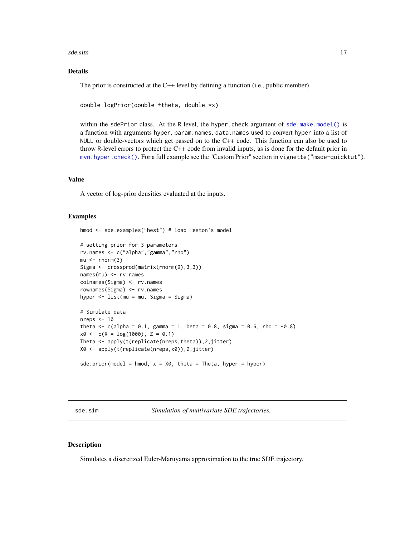#### <span id="page-16-0"></span>sde.sim and the state of the state of the state of the state of the state of the state of the state of the state of the state of the state of the state of the state of the state of the state of the state of the state of th

#### Details

The prior is constructed at the C++ level by defining a function (i.e., public member)

double logPrior(double \*theta, double \*x)

within the sdePrior class. At the R level, the hyper.check argument of [sde.make.model\(\)](#page-11-1) is a function with arguments hyper, param.names, data.names used to convert hyper into a list of NULL or double-vectors which get passed on to the C++ code. This function can also be used to throw R-level errors to protect the C++ code from invalid inputs, as is done for the default prior in [mvn.hyper.check\(\)](#page-5-1). For a full example see the "Custom Prior" section in vignette("msde-quicktut").

#### Value

A vector of log-prior densities evaluated at the inputs.

#### Examples

hmod <- sde.examples("hest") # load Heston's model

```
# setting prior for 3 parameters
rv.names <- c("alpha","gamma","rho")
mu < -rnorm(3)Sigma <- crossprod(matrix(rnorm(9),3,3))
names(mu) <- rv.names
colnames(Sigma) <- rv.names
rownames(Sigma) <- rv.names
hyper <- list(mu = mu, Sigma = Sigma)
# Simulate data
nreps <-10theta \leq c(alpha = 0.1, gamma = 1, beta = 0.8, sigma = 0.6, rho = -0.8)
x0 \leq -c(X = \log(1000), Z = 0.1)Theta <- apply(t(replicate(nreps,theta)),2,jitter)
X0 <- apply(t(replicate(nreps,x0)),2,jitter)
sde.prior(model = hmod, x = X0, theta = Theta, hyper = hyper)
```
<span id="page-16-1"></span>sde.sim *Simulation of multivariate SDE trajectories.*

#### Description

Simulates a discretized Euler-Maruyama approximation to the true SDE trajectory.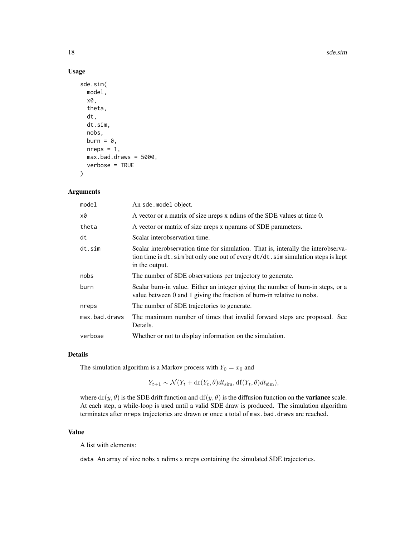18 sde.sim

#### Usage

```
sde.sim(
  model,
  x0,
  theta,
  dt,
  dt.sim,
  nobs,
  burn = \theta,
  nreps = 1,
  max.bad.draws = 5000,
  verbose = TRUE
)
```
#### Arguments

| model         | An sde.model object.                                                                                                                                                                      |
|---------------|-------------------------------------------------------------------------------------------------------------------------------------------------------------------------------------------|
| x0            | A vector or a matrix of size nreps x ndims of the SDE values at time 0.                                                                                                                   |
| theta         | A vector or matrix of size nreps x nparams of SDE parameters.                                                                                                                             |
| dt            | Scalar interobservation time.                                                                                                                                                             |
| dt.sim        | Scalar interobservation time for simulation. That is, interally the interobserva-<br>tion time is dt. sim but only one out of every dt/dt. sim simulation steps is kept<br>in the output. |
| nobs          | The number of SDE observations per trajectory to generate.                                                                                                                                |
| burn          | Scalar burn-in value. Either an integer giving the number of burn-in steps, or a<br>value between 0 and 1 giving the fraction of burn-in relative to nobs.                                |
| nreps         | The number of SDE trajectories to generate.                                                                                                                                               |
| max.bad.draws | The maximum number of times that invalid forward steps are proposed. See<br>Details.                                                                                                      |
| verbose       | Whether or not to display information on the simulation.                                                                                                                                  |

#### Details

The simulation algorithm is a Markov process with  $Y_0 = x_0$  and

 $Y_{t+1} \sim \mathcal{N}(Y_t + \text{dr}(Y_t, \theta) dt_{\text{sim}}, \text{df}(Y_t, \theta) dt_{\text{sim}}),$ 

where  $dr(y, \theta)$  is the SDE drift function and  $df(y, \theta)$  is the diffusion function on the **variance** scale. At each step, a while-loop is used until a valid SDE draw is produced. The simulation algorithm terminates after nreps trajectories are drawn or once a total of max.bad.draws are reached.

#### Value

A list with elements:

data An array of size nobs x ndims x nreps containing the simulated SDE trajectories.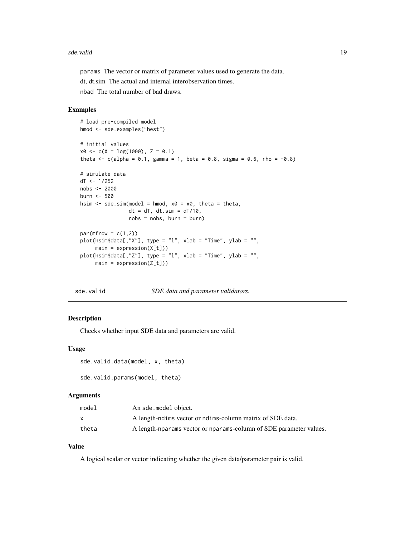#### <span id="page-18-0"></span>sde.valid 19

params The vector or matrix of parameter values used to generate the data.

dt, dt.sim The actual and internal interobservation times.

nbad The total number of bad draws.

#### Examples

```
# load pre-compiled model
hmod <- sde.examples("hest")
# initial values
x0 \leq -c(X = \log(1000), Z = 0.1)theta <- c(alpha = 0.1, gamma = 1, beta = 0.8, sigma = 0.6, rho = -0.8)
# simulate data
dT < -1/252nobs <- 2000
burn <- 500
hsim \leq sde.sim(model = hmod, x0 = x0, theta = theta,
                dt = dT, dt \cdot \sin = dT/10,
                nobs = nobs, burn = burn)
par(mfrow = c(1,2))plot(hsim$data[,"X"], type = "l", xlab = "Time", ylab = "",
     main = expression(X[t]))
plot(hsim$data[,"Z"], type = "l", xlab = "Time", ylab = "",
     main = expression(Z[t]))
```
<span id="page-18-1"></span>

sde.valid *SDE data and parameter validators.*

#### Description

Checks whether input SDE data and parameters are valid.

#### Usage

```
sde.valid.data(model, x, theta)
```
sde.valid.params(model, theta)

#### Arguments

| model | An sde.model object.                                               |
|-------|--------------------------------------------------------------------|
| X     | A length-notime vector or notime-column matrix of SDE data.        |
| theta | A length-nparams vector or nparams-column of SDE parameter values. |

#### Value

A logical scalar or vector indicating whether the given data/parameter pair is valid.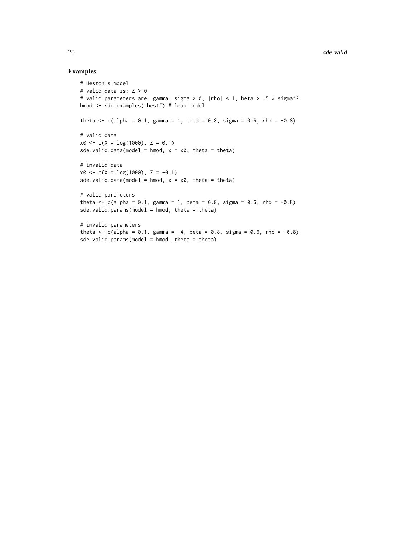```
# Heston's model
# valid data is: Z > 0
# valid parameters are: gamma, sigma > 0, |rho| < 1, beta > .5 * sigma^2
hmod <- sde.examples("hest") # load model
theta \leq c(alpha = 0.1, gamma = 1, beta = 0.8, sigma = 0.6, rho = -0.8)
# valid data
x0 \leq -c(X = log(1000), Z = 0.1)sde.valid.data(model = hmod, x = x0, theta = theta)
# invalid data
x0 \leq -c(X = \log(1000), Z = -0.1)sde.valid.data(model = hmod, x = x0, theta = theta)
# valid parameters
theta <- c(alpha = 0.1, gamma = 1, beta = 0.8, sigma = 0.6, rho = -0.8)
sde.valid.params(model = hmod, theta = theta)
# invalid parameters
theta <- c(alpha = 0.1, gamma = -4, beta = 0.8, sigma = 0.6, rho = -0.8)
sde.valid.params(model = hmod, theta = theta)
```